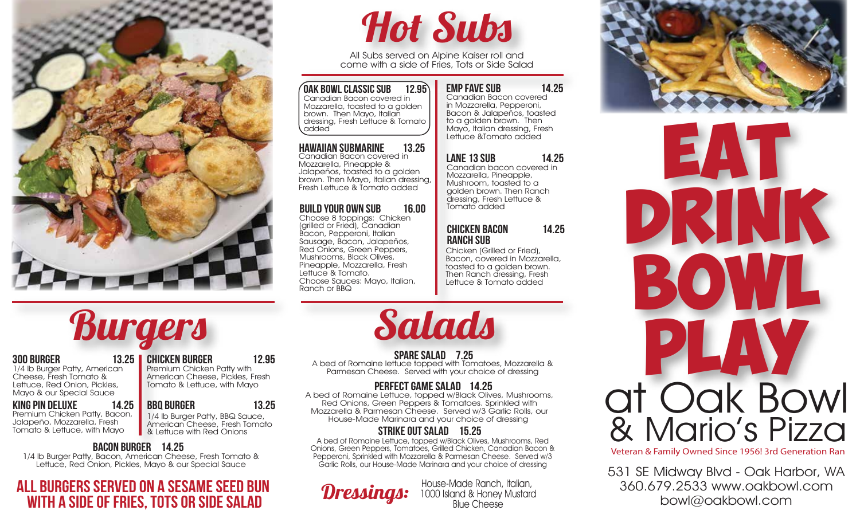

# Hot Subs

All Subs served on Alpine Kaiser roll and come with a side of Fries, Tots or Side Salad

 $\sqrt{0}$ ak bowl Classic Sub 12.95) Canadian Bacon covered in Mozzarella, toasted to a golden brown. Then Mayo, Italian dressing, Fresh Lettuce & Tomato added

## **HAWAIIAN SUBMARINE 13.25**<br>Canadian Bacon covered in

Mozzarella, Pineapple & Jalapeños, toasted to a golden brown. Then Mayo, Italian dressing, Fresh Lettuce & Tomato added

#### Build your own sub 16.00

Choose 8 toppings: Chicken (grilled or Fried), Canadian Bacon, Pepperoni, Italian Sausage, Bacon, Jalapeños, Red Onions, Green Peppers, Mushrooms, Black Olives, Pineapple, Mozzarella, Fresh Lettuce & Tomato. Choose Sauces: Mayo, Italian, Ranch or BBQ

#### emp fave sub 14.25

Canadian Bacon covered in Mozzarella, Pepperoni, Bacon & Jalapeños, toasted to a golden brown. Then Mayo, Italian dressing, Fresh Lettuce &Tomato added

#### Lane 13 Sub 14.25

Canadian bacon covered in Mozzarella, Pineapple, Mushroom, toasted to a golden brown. Then Ranch dressing, Fresh Lettuce & Tomato added

#### chicken bacon 14.25 **RANCH SUB**

Chicken (Grilled or Fried), Bacon, covered in Mozzarella, toasted to a golden brown. Then Ranch dressing, Fresh Lettuce & Tomato added





Veteran & Family Owned Since 1956! 3rd Generation Ran

531 SE Midway Blvd - Oak Harbor, WA 360.679.2533 www.oakbowl.com bowl@oakbowl.com

# **Burgers**

#### 300 burger 13.25

1/4 lb Burger Patty, American Cheese, Fresh Tomato & Lettuce, Red Onion, Pickles, Mayo & our Special Sauce

#### King Pin deluxe 14.25

Premium Chicken Patty, Bacon, Jalapeño, Mozzarella, Fresh Tomato & Lettuce, with Mayo

### chicken burger 12.95

Premium Chicken Patty with American Cheese, Pickles, Fresh Tomato & Lettuce, with Mayo

#### BBO BURGER 13.25

1/4 lb Burger Patty, BBQ Sauce, American Cheese, Fresh Tomato & Lettuce with Red Onions

#### bacon burger 14.25

1/4 lb Burger Patty, Bacon, American Cheese, Fresh Tomato & Lettuce, Red Onion, Pickles, Mayo & our Special Sauce

### all burgers served on a sesame seed bun with a side of fries, tots or SIDE SALAD

# Salads

SPARE SALAD 7.25 A bed of Romaine lettuce topped with Tomatoes, Mozzarella & Parmesan Cheese. Served with your choice of dressing

#### PERFECT GAME SALAD 14.25

A bed of Romaine Lettuce, topped w/Black Olives, Mushrooms, Red Onions, Green Peppers & Tomatoes. Sprinkled with Mozzarella & Parmesan Cheese. Served w/3 Garlic Rolls, our House-Made Marinara and your choice of dressing

#### strike out salad 15.25

A bed of Romaine Lettuce, topped w/Black Olives, Mushrooms, Red Onions, Green Peppers, Tomatoes, Grilled Chicken, Canadian Bacon & Pepperoni, Sprinkled with Mozzarella & Parmesan Cheese. Served w/3 Garlic Rolls, our House-Made Marinara and your choice of dressing

**Dressings:** House-Made Ranch, Italian,<br>1000 Island & Honey Mustard Blue Cheese